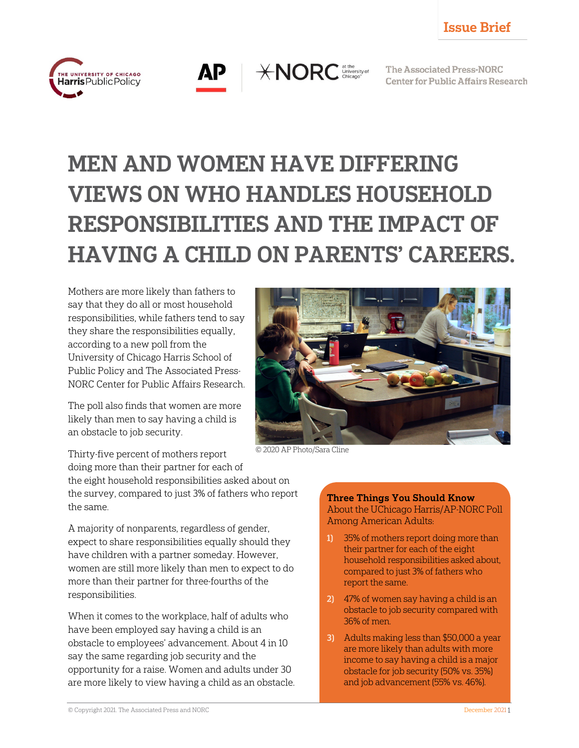



 $*NORC$  dithe University of

The Associated Press-NORC **Center for Public Affairs Research** 

# MEN AND WOMEN HAVE DIFFERING VIEWS ON WHO HANDLES HOUSEHOLD RESPONSIBILITIES AND THE IMPACT OF HAVING A CHILD ON PARENTS' CAREERS.

Mothers are more likely than fathers to say that they do all or most household responsibilities, while fathers tend to say they share the responsibilities equally, according to a new poll from the University of Chicago Harris School of Public Policy and The Associated Press-NORC Center for Public Affairs Research.

The poll also finds that women are more likely than men to say having a child is an obstacle to job security.



© 2020 AP Photo/Sara Cline

Thirty-five percent of mothers report doing more than their partner for each of the eight household responsibilities asked about on the survey, compared to just 3% of fathers who report the same.

A majority of nonparents, regardless of gender, expect to share responsibilities equally should they have children with a partner someday. However, women are still more likely than men to expect to do more than their partner for three-fourths of the responsibilities.

When it comes to the workplace, half of adults who have been employed say having a child is an obstacle to employees' advancement. About 4 in 10 say the same regarding job security and the opportunity for a raise. Women and adults under 30 are more likely to view having a child as an obstacle. Three Things You Should Know About the UChicago Harris/AP-NORC Poll Among American Adults:

- 1) 35% of mothers report doing more than their partner for each of the eight household responsibilities asked about, compared to just 3% of fathers who report the same.
- 2) 47% of women say having a child is an obstacle to job security compared with 36% of men.
- 3) Adults making less than \$50,000 a year are more likely than adults with more income to say having a child is a major obstacle for job security (50% vs. 35%) and job advancement (55% vs. 46%).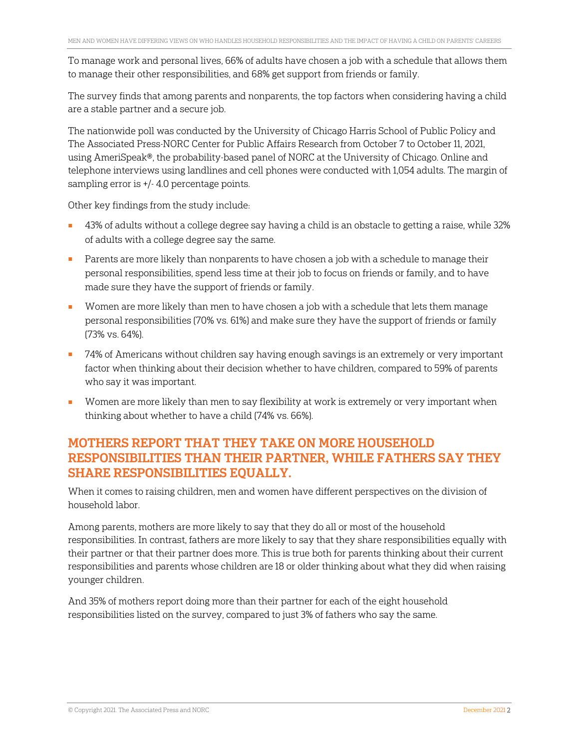To manage work and personal lives, 66% of adults have chosen a job with a schedule that allows them to manage their other responsibilities, and 68% get support from friends or family.

The survey finds that among parents and nonparents, the top factors when considering having a child are a stable partner and a secure job.

The nationwide poll was conducted by the University of Chicago Harris School of Public Policy and The Associated Press-NORC Center for Public Affairs Research from October 7 to October 11, 2021, using AmeriSpeak®, the probability-based panel of NORC at the University of Chicago. Online and telephone interviews using landlines and cell phones were conducted with 1,054 adults. The margin of sampling error is +/- 4.0 percentage points.

Other key findings from the study include:

- 43% of adults without a college degree say having a child is an obstacle to getting a raise, while 32% of adults with a college degree say the same.
- Parents are more likely than nonparents to have chosen a job with a schedule to manage their personal responsibilities, spend less time at their job to focus on friends or family, and to have made sure they have the support of friends or family.
- Women are more likely than men to have chosen a job with a schedule that lets them manage personal responsibilities (70% vs. 61%) and make sure they have the support of friends or family (73% vs. 64%).
- 74% of Americans without children say having enough savings is an extremely or very important factor when thinking about their decision whether to have children, compared to 59% of parents who say it was important.
- Women are more likely than men to say flexibility at work is extremely or very important when thinking about whether to have a child (74% vs. 66%).

# MOTHERS REPORT THAT THEY TAKE ON MORE HOUSEHOLD RESPONSIBILITIES THAN THEIR PARTNER, WHILE FATHERS SAY THEY SHARE RESPONSIBILITIES EQUALLY.

When it comes to raising children, men and women have different perspectives on the division of household labor.

Among parents, mothers are more likely to say that they do all or most of the household responsibilities. In contrast, fathers are more likely to say that they share responsibilities equally with their partner or that their partner does more. This is true both for parents thinking about their current responsibilities and parents whose children are 18 or older thinking about what they did when raising younger children.

And 35% of mothers report doing more than their partner for each of the eight household responsibilities listed on the survey, compared to just 3% of fathers who say the same.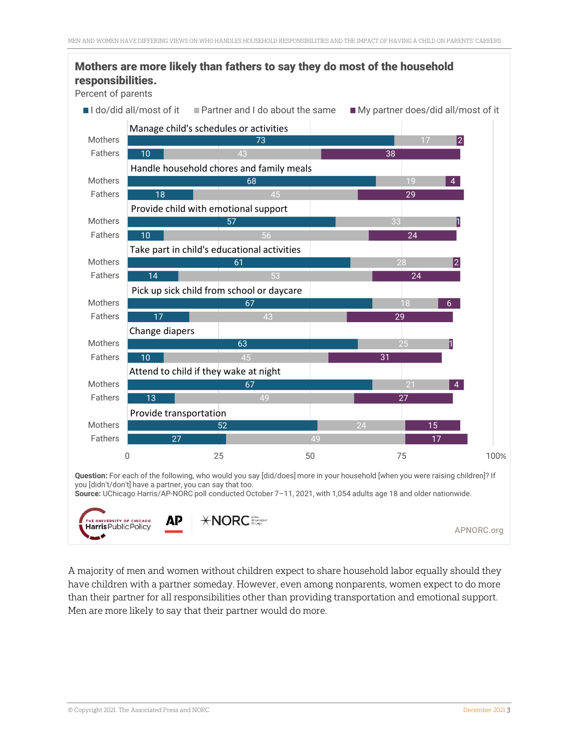



A majority of men and women without children expect to share household labor equally should they have children with a partner someday. However, even among nonparents, women expect to do more than their partner for all responsibilities other than providing transportation and emotional support. Men are more likely to say that their partner would do more.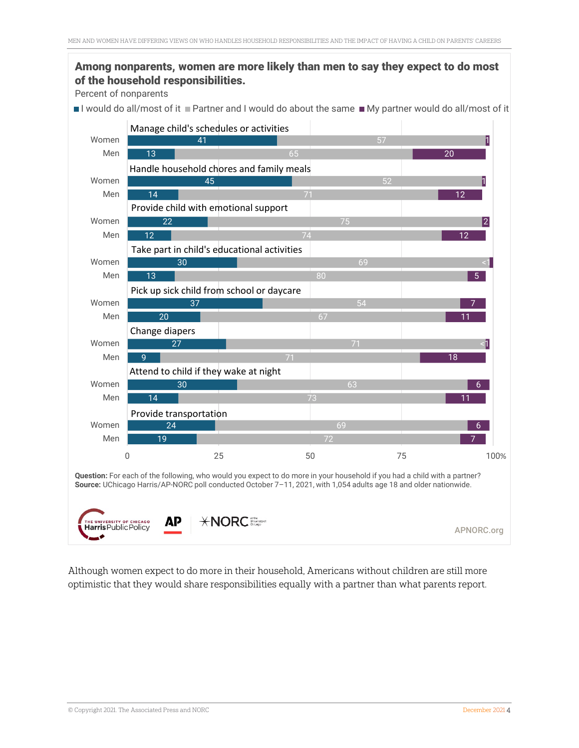#### Among nonparents, women are more likely than men to say they expect to do most of the household responsibilities.

Percent of nonparents

I would do all/most of it Partner and I would do about the same  $\blacksquare$  My partner would do all/most of it



Although women expect to do more in their household, Americans without children are still more optimistic that they would share responsibilities equally with a partner than what parents report.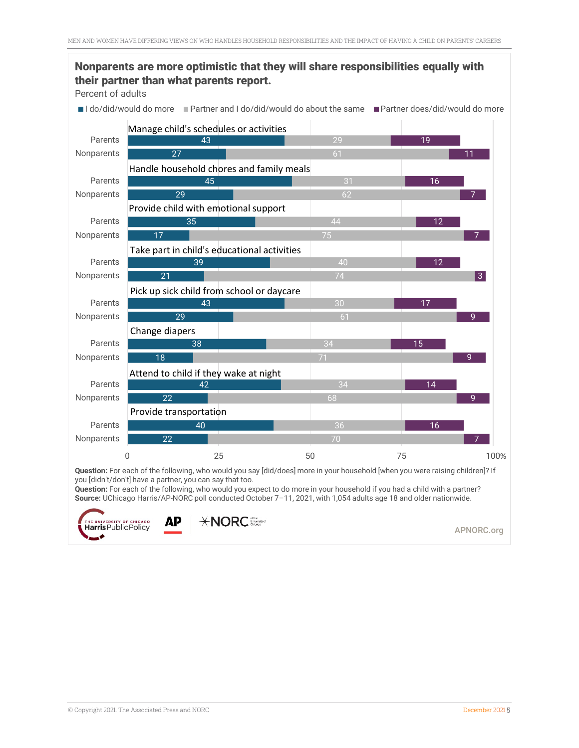#### 22 40 22 42 18 38 29 43 21 39 17 35 29 45 27 43 70 36 68  $34$ 30 74  $1<sup>1</sup>$ 44 62  $29$ 7 16 9 14 9 15  $\overline{q}$ 17 3 12 7 12 7 16 11 19 0 25 50 75 100 **Nonparents** Parents Nonparents Parents Nonparents Parents **Nonparents** Parents Nonparents Parents Nonparents Parents **Nonparents** Parents Nonparents Parents I do/did/would do more I Partner and I do/did/would do about the same I Partner does/did/would do more Nonparents are more optimistic that they will share responsibilities equally with their partner than what parents report. Percent of adults 100% Provide transportation Attend to child if they wake at night Change diapers Pick up sick child from school or daycare Take part in child's educational activities Provide child with emotional support Handle household chores and family meals Manage child's schedules or activities

**Question:** For each of the following, who would you say [did/does] more in your household [when you were raising children]? If you [didn't/don't] have a partner, you can say that too.

**Question:** For each of the following, who would you expect to do more in your household if you had a child with a partner? **Source:** UChicago Harris/AP-NORC poll conducted October 7–11, 2021, with 1,054 adults age 18 and older nationwide.



**XNORC** 

APNORC.org

© Copyright 2021. The Associated Press and NORC December 2021 5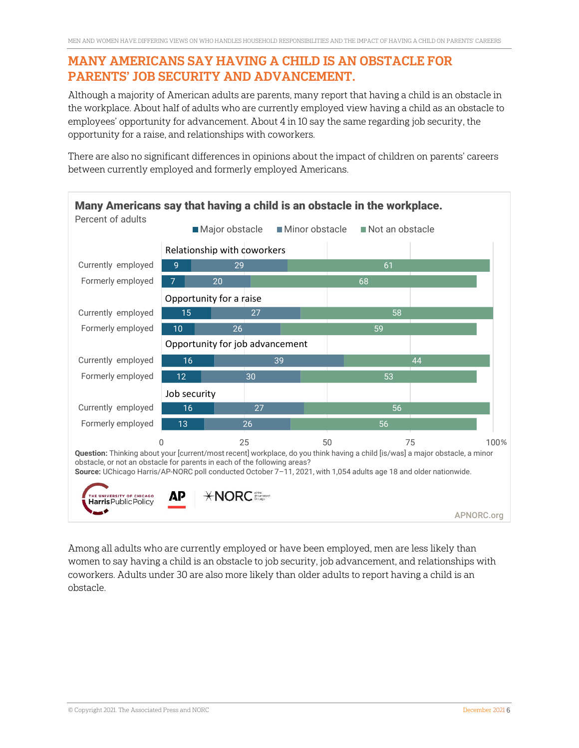### MANY AMERICANS SAY HAVING A CHILD IS AN OBSTACLE FOR PARENTS' JOB SECURITY AND ADVANCEMENT.

Although a majority of American adults are parents, many report that having a child is an obstacle in the workplace. About half of adults who are currently employed view having a child as an obstacle to employees' opportunity for advancement. About 4 in 10 say the same regarding job security, the opportunity for a raise, and relationships with coworkers.

There are also no significant differences in opinions about the impact of children on parents' careers between currently employed and formerly employed Americans.



Among all adults who are currently employed or have been employed, men are less likely than women to say having a child is an obstacle to job security, job advancement, and relationships with coworkers. Adults under 30 are also more likely than older adults to report having a child is an obstacle.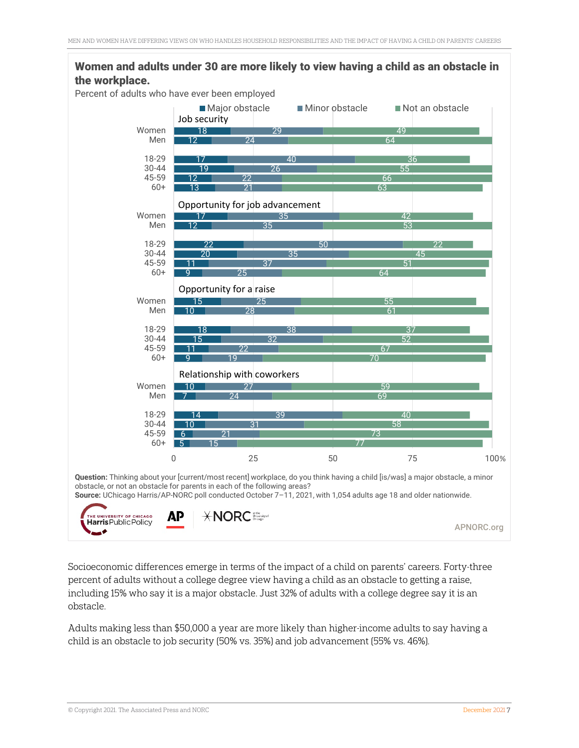

Socioeconomic differences emerge in terms of the impact of a child on parents' careers. Forty-three percent of adults without a college degree view having a child as an obstacle to getting a raise, including 15% who say it is a major obstacle. Just 32% of adults with a college degree say it is an obstacle.

Adults making less than \$50,000 a year are more likely than higher-income adults to say having a child is an obstacle to job security (50% vs. 35%) and job advancement (55% vs. 46%).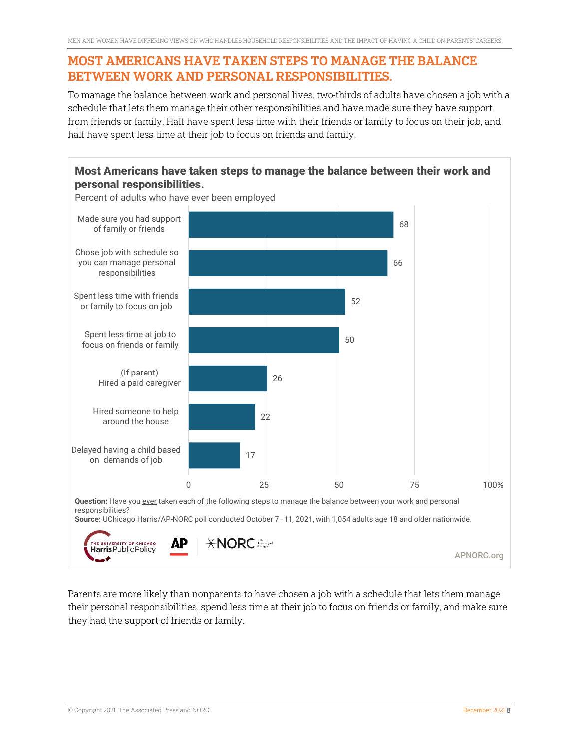#### MOST AMERICANS HAVE TAKEN STEPS TO MANAGE THE BALANCE BETWEEN WORK AND PERSONAL RESPONSIBILITIES.

To manage the balance between work and personal lives, two-thirds of adults have chosen a job with a schedule that lets them manage their other responsibilities and have made sure they have support from friends or family. Half have spent less time with their friends or family to focus on their job, and half have spent less time at their job to focus on friends and family.



Parents are more likely than nonparents to have chosen a job with a schedule that lets them manage their personal responsibilities, spend less time at their job to focus on friends or family, and make sure they had the support of friends or family.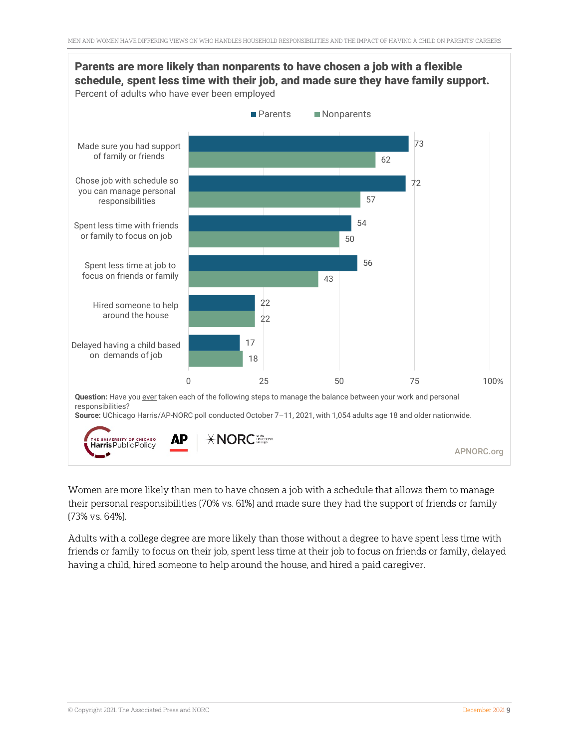

Women are more likely than men to have chosen a job with a schedule that allows them to manage their personal responsibilities (70% vs. 61%) and made sure they had the support of friends or family (73% vs. 64%).

Adults with a college degree are more likely than those without a degree to have spent less time with friends or family to focus on their job, spent less time at their job to focus on friends or family, delayed having a child, hired someone to help around the house, and hired a paid caregiver.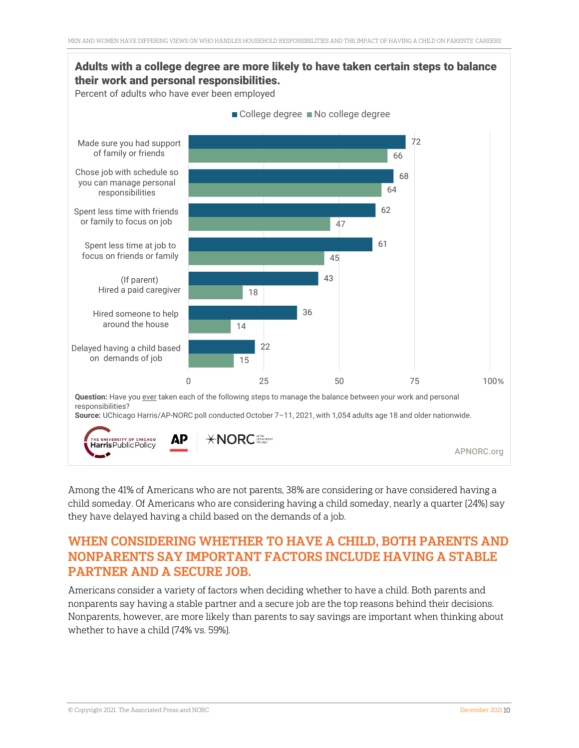

Among the 41% of Americans who are not parents, 38% are considering or have considered having a child someday. Of Americans who are considering having a child someday, nearly a quarter (24%) say they have delayed having a child based on the demands of a job.

# WHEN CONSIDERING WHETHER TO HAVE A CHILD, BOTH PARENTS AND NONPARENTS SAY IMPORTANT FACTORS INCLUDE HAVING A STABLE PARTNER AND A SECURE JOB.

Americans consider a variety of factors when deciding whether to have a child. Both parents and nonparents say having a stable partner and a secure job are the top reasons behind their decisions. Nonparents, however, are more likely than parents to say savings are important when thinking about whether to have a child (74% vs. 59%).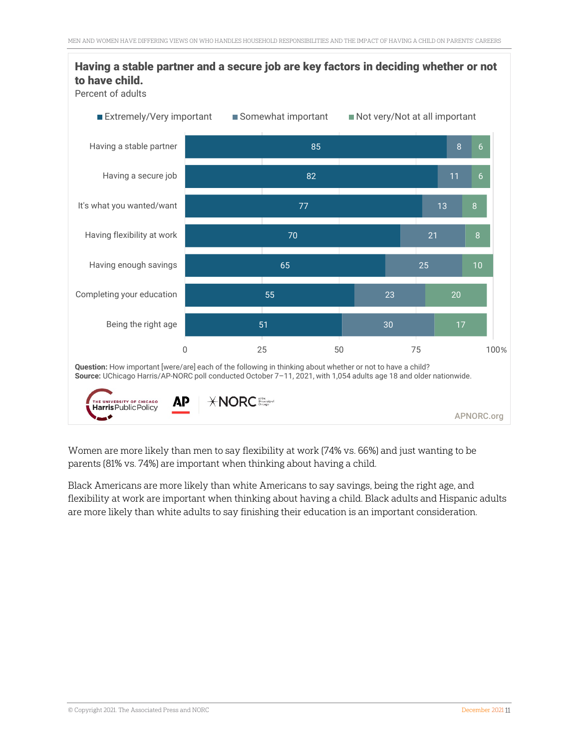

Women are more likely than men to say flexibility at work (74% vs. 66%) and just wanting to be parents (81% vs. 74%) are important when thinking about having a child.

Black Americans are more likely than white Americans to say savings, being the right age, and flexibility at work are important when thinking about having a child. Black adults and Hispanic adults are more likely than white adults to say finishing their education is an important consideration.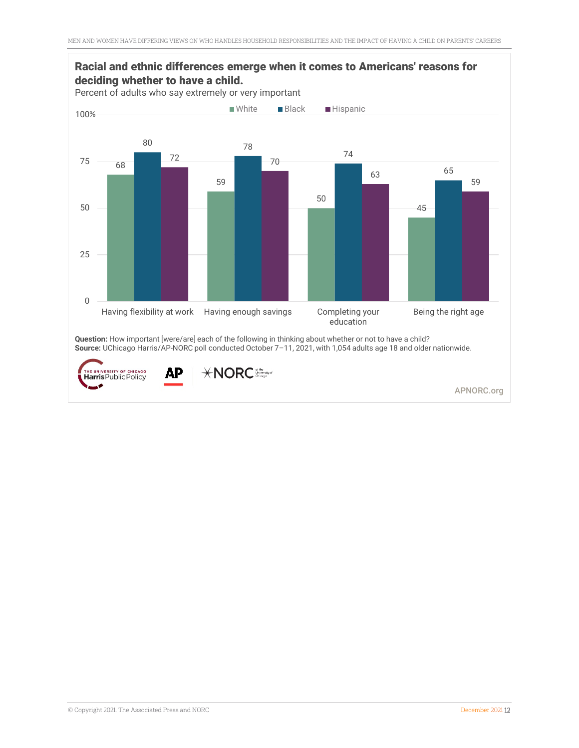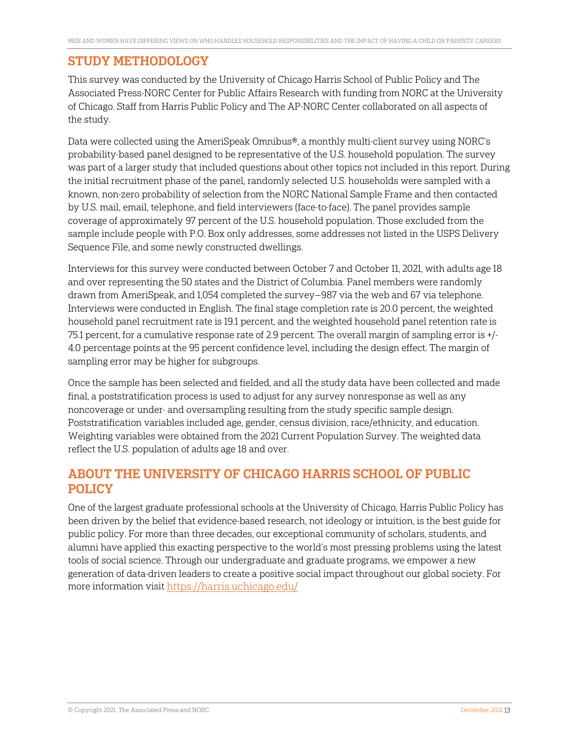### STUDY METHODOLOGY

This survey was conducted by the University of Chicago Harris School of Public Policy and The Associated Press-NORC Center for Public Affairs Research with funding from NORC at the University of Chicago. Staff from Harris Public Policy and The AP-NORC Center collaborated on all aspects of the study.

Data were collected using the AmeriSpeak Omnibus®, a monthly multi-client survey using NORC's probability-based panel designed to be representative of the U.S. household population. The survey was part of a larger study that included questions about other topics not included in this report. During the initial recruitment phase of the panel, randomly selected U.S. households were sampled with a known, non-zero probability of selection from the NORC National Sample Frame and then contacted by U.S. mail, email, telephone, and field interviewers (face-to-face). The panel provides sample coverage of approximately 97 percent of the U.S. household population. Those excluded from the sample include people with P.O. Box only addresses, some addresses not listed in the USPS Delivery Sequence File, and some newly constructed dwellings.

Interviews for this survey were conducted between October 7 and October 11, 2021, with adults age 18 and over representing the 50 states and the District of Columbia. Panel members were randomly drawn from AmeriSpeak, and 1,054 completed the survey—987 via the web and 67 via telephone. Interviews were conducted in English. The final stage completion rate is 20.0 percent, the weighted household panel recruitment rate is 19.1 percent, and the weighted household panel retention rate is 75.1 percent, for a cumulative response rate of 2.9 percent. The overall margin of sampling error is +/- 4.0 percentage points at the 95 percent confidence level, including the design effect. The margin of sampling error may be higher for subgroups.

Once the sample has been selected and fielded, and all the study data have been collected and made final, a poststratification process is used to adjust for any survey nonresponse as well as any noncoverage or under- and oversampling resulting from the study specific sample design. Poststratification variables included age, gender, census division, race/ethnicity, and education. Weighting variables were obtained from the 2021 Current Population Survey. The weighted data reflect the U.S. population of adults age 18 and over.

# ABOUT THE UNIVERSITY OF CHICAGO HARRIS SCHOOL OF PUBLIC POLICY

One of the largest graduate professional schools at the University of Chicago, Harris Public Policy has been driven by the belief that evidence-based research, not ideology or intuition, is the best guide for public policy. For more than three decades, our exceptional community of scholars, students, and alumni have applied this exacting perspective to the world's most pressing problems using the latest tools of social science. Through our undergraduate and graduate programs, we empower a new generation of data-driven leaders to create a positive social impact throughout our global society. For more information visi[t https://harris.uchicago.edu/](https://harris.uchicago.edu/)